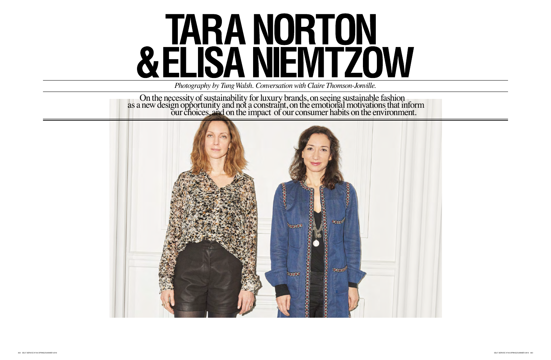## **TARA NORTON<br>& ELISA NIEMTZOW**

*Photography by Tung Walsh. Conversation with Claire Thomson-Jonville.*

ury brands, onseeing sustainable fashion raint, on the emotional motivations that inform<br>of our consumer habits on the environment. On the necessity of sustainability for lux as a new design opportunity and not a const our choices, and on the impact



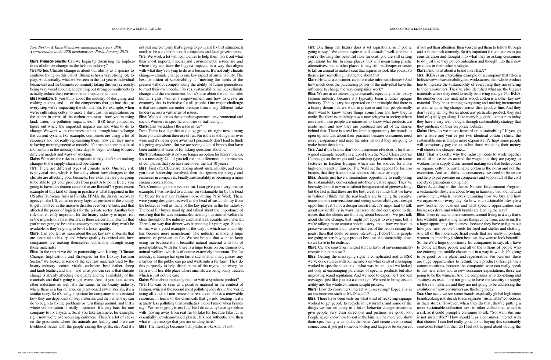*Tara Norton & Elisa Niemtzow, managing directors, BSR. A conversation at the BSR headquarters, Paris, January 2018.*

**Claire Thomson-Jonville:** Can we begin by discussing the implications of climate change on the fashion industry?

**Tara Norton:** Climate change is about our ability as a species to continue living on this planet. Business has a very strong role to play. And, actually, what we've seen in the last year is individual businesses and the business community taking this very seriously, being very vocal about it, and putting out strong commitments to actually reduce their environmental impact on climate.

**Elisa Niemtzow:** If you think about the industry of designing and making clothes, and all of the components that go into that, at every step we're impacting the climate. So, for example, when we're cultivating cotton to make a shirt, this has implications on the planet in terms of the carbon emissions, how you're using land, water, the pollution impacts, etc.... BSR helps companies figure out where the important impacts are and what to do to change. We work with companies to think through how to change the current system. For example, companies are using a lot of resources and not really replenishing them; how can they move to having more regenerative models? It's true that there is a lot of momentum in the industry these days to begin working towards different models and ways of working.

**Claire:** What are the risks to companies if they don't start making changes to the supply chain and operations?

**Tara:** There are different types of climate risks. One key risk is physical risk, which is basically about how changes in the climate are affecting your business. For example, are you going to be able to get your products from point A to point B; are you going to have distribution centers that are flooded? A good recent example of this kind of thing in practice is what happened in the US after Hurricane Irma in Florida. FEMA, the disaster recovery agency in the US, called on every logistics provider in the country to get involved in the massive disaster recovery efforts, and that affected the prices of logistics for the private sector. Another key risk that is really important for the luxury industry is input risk, or the impacts on raw materials, as there are certain materials that you're not going to be able to use anymore because they won't be available or they're going to be of a lesser quality.

**Claire:** Can you tell us more about the six key raw materials that are essential to luxury and whose quality is critical and how companies are making themselves vulnerable through using those materials?

**Elisa:** First off, CEOs are talking about sustainability, and once you have leadership involved, then that ignites the energy and resources in companies. Finally, sustainability is becoming a mainstream conversation.

**Tara:** Continuing on the issue of fur, I can give you a very precise example: I was invited to a dinner on sustainable fur by the head fur buyer for a major fashion house during Paris Week. There were young designers, as well as the head of sustainability from the house, as well as many of the key players in the fur industry. The head fur buyer stood up and talked about the importance of ensuring that fur was sustainable, meaning that animal welfare is clear throughout the industry and that it's a traceable raw material. There's no way that dinner was happening 10 years ago. So that, to me, was a good example of the way in which sustainability has become more mainstream. The industry is under a huge amount of pressure on fur. We see brands that want to keep using fur because it's a beautiful natural material with lots of good qualities. With fur, there is a huge focus on one dimension, animal welfare, which is of course extremely important. The fur industry in Europe has open farms such that, in many places, any member of the public can go and walk onto a fur farm. They do this purposely to help dispel some of the myths that every fur farm is this horrible place where animals are being badly treated, which is just not the case.

**Elisa:** In the report we did in partnership with Kering, "Climate Change: Implications and Strategies for the Luxury Fashion Sector," we looked at some of the key raw materials used by the luxury industry—cotton, vicuña, cashmere, beef leather, sheep and lamb leather, and silk—and what you can see is that climate change is already affecting the quality and the availability of the materials and that's going to get worse. And, if you look across other industries as well, it's the same. In the beauty industry, where there is a big reliance on plant-based raw materials, it's a similar story. So it's really important for companies to understand how they are dependent on key materials and then what they can do to begin to fix the problems or turn things around, and that's where collaboration is really important. It's very hard for one company to fix a system. So, if you take cashmere, for example: right now we're over-sourcing cashmere. There's a lot of stress on the grasslands where the animals are feeding and there are livelihood issues with the people raising the goats, etc. And it's

**Tara:** One thing that luxury does is set aspirations, so if you're going to say, "We cannot aspire to kill animals," well, fine but if you're showing this beautiful fake fur coat, you are still setting aspirations for fur. In some places, this will mean using plastic alternatives, and in other places, it may still be cheaper or easier to kill an animal to make a coat that aspires to look like yours. So there's just something inauthentic about that. **Claire:** How, as a consumer, can one make informed choices? And how much does the purchasing power of the individual have the influence to change the way companies work? **Elisa:** We are at an interesting crossroads, especially in the luxury fashion industry because it's typically been a rather opaque industry. The industry has operated on the principle that there is a luxury dream that we want to preserve and that people really don't want to know where things come from and how they're made. But there is definitely now a new zeitgeist in society where more and more people are interested to know what products are made from and how they are produced and all of the stories behind that. There is a real leadership opportunity for brands to open up and talk about their practices because consumers need more transparency and need the information if they are going to make better decisions. **Tara:** And if the brands don't do it, someone else does it for them. if you get their attention, then you can get them to follow through and sort the trash correctly. So it's important for companies to put consideration and thought into what they're asking consumers to do, just like they put consideration and thought into their new products or their other strategies. **Claire:** And what about a brand like IKEA? **Tara**: IKEA is an interesting example of a company that takes a holistic view of sustainability, and works across their whole product line to increase the sustainability of everything they are offering to their consumers. They've also identified what are the biggest materials where they need to really be driving change. For IKEA, the number one raw material is wood; cotton is another key raw material. They're examining everything and making incremental as well as quite big changes across their product line. And they don't really tell big stories about any particular product; they just kind of quietly go along. Like many big global companies today, they have a very well thought through sustainability strategy that they publicize on their corporate website. **Claire:** How do we move forward on sustainability? If you go into a store and you've got two identical cotton t-shirts, the sustainable one is always more expensive. Perhaps some people will consciously pay the extra but those watching their money will choose the cheaper one...

not just one company that's going to go in and fix that situation: it needs to be a collaboration of companies and local governments. **Tara:** We work a lot with companies to help them work out what their most important social and environmental issues are and where they can have the biggest impacts, in a way that aligns with what they're trying to do as a business. It's not only climate change—climate change is one key aspect of sustainability. The best definition of sustainability is "meeting the needs of the present without compromising the ability of future generations to meet their own needs." So yes, sustainability includes climate change and the environment, but it's also about the human side: human rights, women's empowerment and how to create an economy that is inclusive for all people. One major challenge is that companies are under pressure from many different stakeholders across a vast array of issues.

**Elisa:** We look across the complete spectrum: environmental and social. Workers in specific countries or trafficking...

**Claire:** Can we address the issue of fur?

**Tara:** There is a significant dialog going on right now among luxury brands about their use of fur. Fur is the first thing man ever wore and it's never gone away, so I personally don't tend to think it's going anywhere. But we are seeing a lot of brands that have been traditional users of fur asking questions about it.

**Claire:** Sustainability is now no longer an option for luxury brands; it's a necessity. Could you tell me the differences in approaches of companies that you have seen over the last 10 years?

**Claire:** What about replacing real fur with a synthetic product? **Tara:** Fur can be seen as a positive material in the context of fashion, which is the second most polluting industry in the world, using all kinds of non-renewable resources. Fur is a renewable resource; in terms of the chemicals that go into treating it, it's actually less polluting than synthetics. I don't mind when brands say, "We're not going to use fur," but I do actually have a problem with moving away from real fur to fake fur because fake fur is essentially petroleum-based plastic. It's not authentic and then what is the message that you are sending here? **Elisa:** The message becomes that plastic is ok. And it's not.

**Claire:** Can the consumer mindset shift in favor of environmentallyresponsible purchases? **Elisa:** Getting the messaging right is complicated and at BSR we've done studies with our members on what kinds of messaging worked in specific situations—what was better—and we looked not only at encouraging purchases of specific products but also improving brand reputation. And we need to experiment and test messages, just like you test a campaign. We need to bring sustainability into the whole consumer insight process. **Claire:** How do consumers interact with recycling? Especially in an environment such as McDonald's? evolution of how consumers are thinking today. **Tara:** One tactic we see some brands, especially global high street

A good example recently is a report from the NGO Clean Clothes Campaign on the wages and sweatshop-type conditions in some factories in Eastern Europe, which can be sources for more high-end brands in Europe. The NGO set the agenda for fashion brands, that they have to now address this issue strongly. **Elisa:** Brands just have a tremendous opportunity to really bring the sustainability conversation into their creative space. They've been shy about it or worried about being accused of greenwashing, but the fact is that these are the best creative minds that we have in fashion. I think that the real leaders are bringing the creative teams into the conversations and seeing sustainability as a design opportunity; it's not a design constraint. It's important to talk about sustainability in ways that resonate and correspond to the issues that the clients are thinking about because if we just talk about climate change, that might not appeal to everyone, but if we're talking more about a specific story about how we have to preserve cashmere and improve the lives of the people raising the goats, then that could be more interesting. I don't think people are going to start buying a product because of sustainability alone, so we have to be realistic. **Elisa:** That is exactly why the industry needs to work together on all of those issues around the wages that they are paying to workers in the supply chain, around making sure that better cotton or organic cotton or sustainable cotton is the norm and not the exception. And so I think, as consumers, we need to be aware and help to put pressure on companies and support all of the civil society organizations doing that. **Claire:** According to the United Nations Environment Program, a sustainable lifestyle is about living in harmony with our natural environment, which involves rethinking how we buy and how we organize our every day. So how is a sustainable lifestyle a new frontier for business and what specific opportunities can businesses draw and which brands are leading the way? **Elisa:** There is much more awareness around living in a way that's

**Elisa:** There have been tests on what kind of recycling signage worked to get people to recycle in restaurants, and some of the things we learned apply in a lot of behavior change situations: give people very clear directions and pictures are good, too. People never know how to sort in the bins but the more you show them specifically what to do, the better. And create an emotional connection: if you get someone to stop and laugh or be surprised, brands, taking is to decide to run separate "sustainable" collections in their stores. However, when they do that, they're putting a more sustainable collection next to other collections, which is a risk as it could prompt a consumer to ask, "So, wait: *this* one is not sustainable?" How should I, as a consumer, interact with that choice? I can feel really good about buying this sustainably conscious t-shirt but then do I feel not as good about buying the

less wasteful, questioning where things come from, and so on. It's a huge opportunity for business, because they have to figure out how you meet people's needs for food and shelter and clothing. And all of the more superficial needs that are really important: women and men buy fashion because they want to look beautiful. So there's a huge opportunity for companies to say, ok I have to clothe all these people and all of the billions of people who are entering the middle classes but in a way in which it's going to be good for the planet and regenerative. For business, there are huge opportunities to rethink their product offerings, their communications, because the companies who can really speak to this new ethos and to new consumer expectations, those are going to be the winners. And the companies who do nothing and "business as usual" are not going to have the security of supply on the raw materials and they are not going to be addressing the